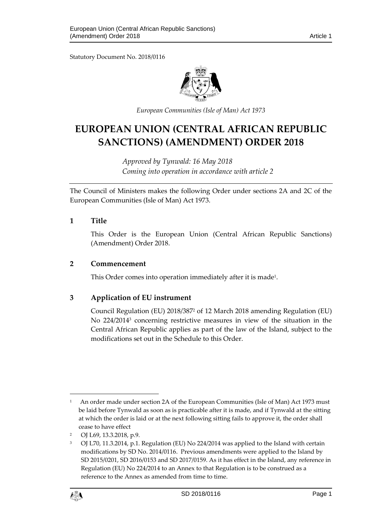Statutory Document No. 2018/0116



*European Communities (Isle of Man) Act 1973*

# **EUROPEAN UNION (CENTRAL AFRICAN REPUBLIC SANCTIONS) (AMENDMENT) ORDER 2018**

*Approved by Tynwald: 16 May 2018 Coming into operation in accordance with article 2*

The Council of Ministers makes the following Order under sections 2A and 2C of the European Communities (Isle of Man) Act 1973.

### **1 Title**

This Order is the European Union (Central African Republic Sanctions) (Amendment) Order 2018.

### **2 Commencement**

This Order comes into operation immediately after it is made $^{\rm 1}.$ 

### **3 Application of EU instrument**

Council Regulation (EU) 2018/387<sup>2</sup> of 12 March 2018 amending Regulation (EU) No 224/2014<sup>3</sup> concerning restrictive measures in view of the situation in the Central African Republic applies as part of the law of the Island, subject to the modifications set out in the Schedule to this Order.

<sup>&</sup>lt;sup>3</sup> OJ L70, 11.3.2014, p.1. Regulation (EU) No 224/2014 was applied to the Island with certain modifications by SD No. 2014/0116. Previous amendments were applied to the Island by SD 2015/0201, SD 2016/0153 and SD 2017/0159. As it has effect in the Island, any reference in Regulation (EU) No 224/2014 to an Annex to that Regulation is to be construed as a reference to the Annex as amended from time to time.



1

<sup>1</sup> An order made under section 2A of the European Communities (Isle of Man) Act 1973 must be laid before Tynwald as soon as is practicable after it is made, and if Tynwald at the sitting at which the order is laid or at the next following sitting fails to approve it, the order shall cease to have effect

<sup>2</sup> OJ L69, 13.3.2018, p.9.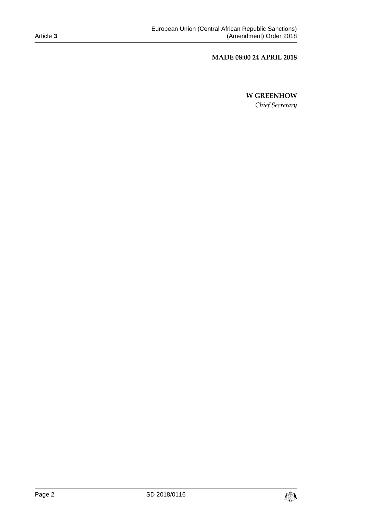### **MADE 08:00 24 APRIL 2018**

# **W GREENHOW**

*Chief Secretary*

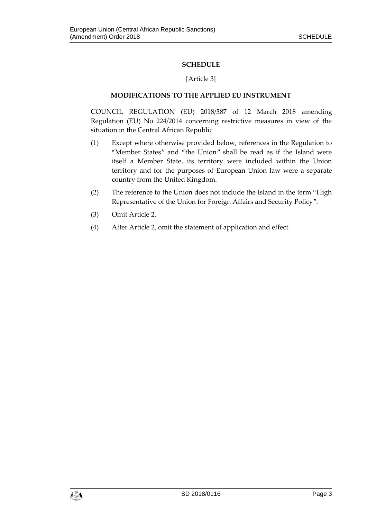# **SCHEDULE**

### [Article 3]

# **MODIFICATIONS TO THE APPLIED EU INSTRUMENT**

COUNCIL REGULATION (EU) 2018/387 of 12 March 2018 amending Regulation (EU) No 224/2014 concerning restrictive measures in view of the situation in the Central African Republic

- (1) Except where otherwise provided below, references in the Regulation to "Member States" and "the Union" shall be read as if the Island were itself a Member State, its territory were included within the Union territory and for the purposes of European Union law were a separate country from the United Kingdom.
- (2) The reference to the Union does not include the Island in the term "High Representative of the Union for Foreign Affairs and Security Policy".
- (3) Omit Article 2.
- (4) After Article 2, omit the statement of application and effect.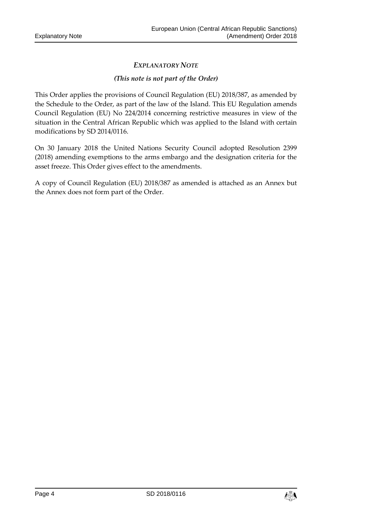# *EXPLANATORY NOTE*

### *(This note is not part of the Order)*

This Order applies the provisions of Council Regulation (EU) 2018/387, as amended by the Schedule to the Order, as part of the law of the Island. This EU Regulation amends Council Regulation (EU) No 224/2014 concerning restrictive measures in view of the situation in the Central African Republic which was applied to the Island with certain modifications by SD 2014/0116.

On 30 January 2018 the United Nations Security Council adopted Resolution 2399 (2018) amending exemptions to the arms embargo and the designation criteria for the asset freeze. This Order gives effect to the amendments.

A copy of Council Regulation (EU) 2018/387 as amended is attached as an Annex but the Annex does not form part of the Order.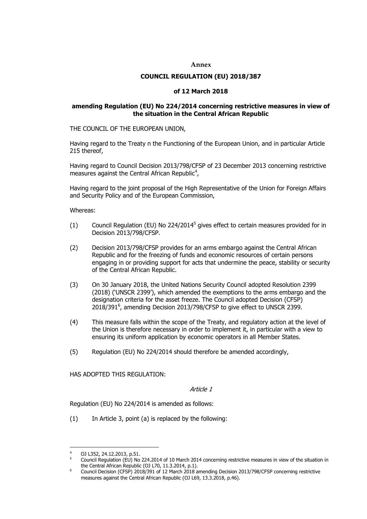#### **Annex**

#### **COUNCIL REGULATION (EU) 2018/387**

#### **of 12 March 2018**

#### **amending Regulation (EU) No 224/2014 concerning restrictive measures in view of the situation in the Central African Republic**

THE COUNCIL OF THE EUROPEAN UNION,

Having regard to the Treaty n the Functioning of the European Union, and in particular Article 215 thereof,

Having regard to Council Decision 2013/798/CFSP of 23 December 2013 concerning restrictive measures against the Central African Republic<sup>4</sup>,

Having regard to the joint proposal of the High Representative of the Union for Foreign Affairs and Security Policy and of the European Commission,

Whereas:

- $(1)$  Council Regulation (EU) No 224/2014<sup>5</sup> gives effect to certain measures provided for in Decision 2013/798/CFSP.
- (2) Decision 2013/798/CFSP provides for an arms embargo against the Central African Republic and for the freezing of funds and economic resources of certain persons engaging in or providing support for acts that undermine the peace, stability or security of the Central African Republic.
- (3) On 30 January 2018, the United Nations Security Council adopted Resolution 2399 (2018) ('UNSCR 2399'), which amended the exemptions to the arms embargo and the designation criteria for the asset freeze. The Council adopted Decision (CFSP)  $2018/391^6$ , amending Decision 2013/798/CFSP to give effect to UNSCR 2399.
- (4) This measure falls within the scope of the Treaty, and regulatory action at the level of the Union is therefore necessary in order to implement it, in particular with a view to ensuring its uniform application by economic operators in all Member States.
- (5) Regulation (EU) No 224/2014 should therefore be amended accordingly,

HAS ADOPTED THIS REGULATION:

Article 1

Regulation (EU) No 224/2014 is amended as follows:

(1) In Article 3, point (a) is replaced by the following:

<sup>1</sup> <sup>4</sup> OJ L352, 24.12.2013, p.51.

<sup>5</sup> Council Regulation (EU) No 224.2014 of 10 March 2014 concerning restrictive measures in view of the situation in the Central African Republic (OJ L70, 11.3.2014, p.1).

<sup>&</sup>lt;sup>6</sup> Council Decision (CFSP) 2018/391 of 12 March 2018 amending Decision 2013/798/CFSP concerning restrictive measures against the Central African Republic (OJ L69, 13.3.2018, p.46).